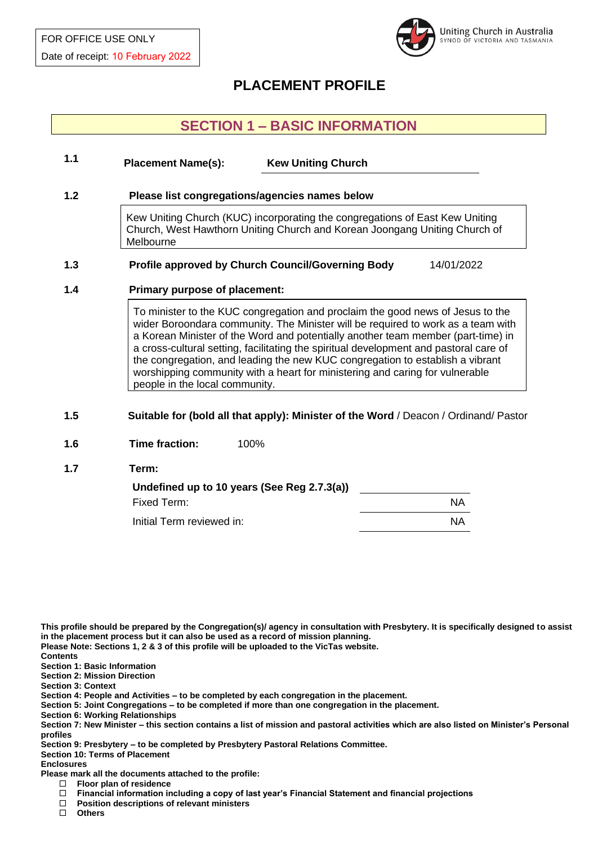

# **PLACEMENT PROFILE**

# **SECTION 1 – BASIC INFORMATION**

## **1.1 1.2 Please list congregations/agencies names below** Kew Uniting Church (KUC) incorporating the congregations of East Kew Uniting Church, West Hawthorn Uniting Church and Korean Joongang Uniting Church of Melbourne **1.3 Profile approved by Church Council/Governing Body** 14/01/2022 **1.4 Primary purpose of placement:** To minister to the KUC congregation and proclaim the good news of Jesus to the wider Boroondara community. The Minister will be required to work as a team with a Korean Minister of the Word and potentially another team member (part-time) in a cross-cultural setting, facilitating the spiritual development and pastoral care of the congregation, and leading the new KUC congregation to establish a vibrant worshipping community with a heart for ministering and caring for vulnerable **Placement Name(s): Kew Uniting Church**

people in the local community.

## **1.5 Suitable for (bold all that apply): Minister of the Word** / Deacon / Ordinand/ Pastor

- **1.6 Time fraction:** 100%
- **1.7 Term:**

| Undefined up to 10 years (See Reg 2.7.3(a)) |           |
|---------------------------------------------|-----------|
| Fixed Term:                                 | <b>NA</b> |
| Initial Term reviewed in:                   | ΝA        |

**This profile should be prepared by the Congregation(s)/ agency in consultation with Presbytery. It is specifically designed to assist in the placement process but it can also be used as a record of mission planning.** 

**Please Note: Sections 1, 2 & 3 of this profile will be uploaded to the VicTas website.** 

**Contents**

**Section 1: Basic Information** 

**Section 2: Mission Direction** 

**Section 3: Context** 

**Section 4: People and Activities – to be completed by each congregation in the placement.** 

**Section 5: Joint Congregations – to be completed if more than one congregation in the placement.**

**Section 6: Working Relationships**

**Section 7: New Minister – this section contains a list of mission and pastoral activities which are also listed on Minister's Personal profiles**

**Section 9: Presbytery – to be completed by Presbytery Pastoral Relations Committee.**

**Section 10: Terms of Placement** 

#### **Enclosures**

**Please mark all the documents attached to the profile:**

**Floor plan of residence**

- **Position descriptions of relevant ministers**
- **Others**

<sup>□</sup> Financial information including a copy of last year's Financial Statement and financial projections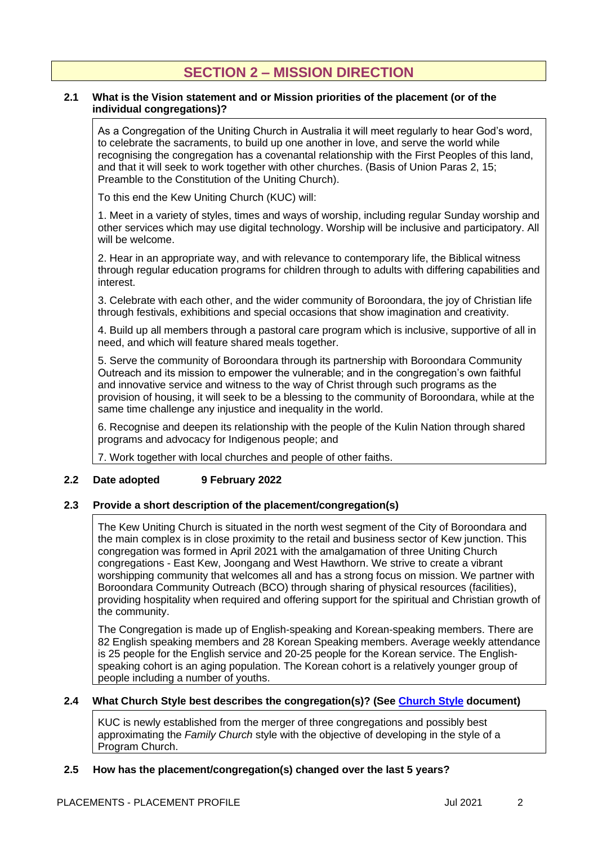# **SECTION 2 – MISSION DIRECTION**

### **2.1 What is the Vision statement and or Mission priorities of the placement (or of the individual congregations)?**

As a Congregation of the Uniting Church in Australia it will meet regularly to hear God's word, to celebrate the sacraments, to build up one another in love, and serve the world while recognising the congregation has a covenantal relationship with the First Peoples of this land, and that it will seek to work together with other churches. (Basis of Union Paras 2, 15; Preamble to the Constitution of the Uniting Church).

To this end the Kew Uniting Church (KUC) will:

1. Meet in a variety of styles, times and ways of worship, including regular Sunday worship and other services which may use digital technology. Worship will be inclusive and participatory. All will be welcome.

2. Hear in an appropriate way, and with relevance to contemporary life, the Biblical witness through regular education programs for children through to adults with differing capabilities and interest.

3. Celebrate with each other, and the wider community of Boroondara, the joy of Christian life through festivals, exhibitions and special occasions that show imagination and creativity.

4. Build up all members through a pastoral care program which is inclusive, supportive of all in need, and which will feature shared meals together.

5. Serve the community of Boroondara through its partnership with Boroondara Community Outreach and its mission to empower the vulnerable; and in the congregation's own faithful and innovative service and witness to the way of Christ through such programs as the provision of housing, it will seek to be a blessing to the community of Boroondara, while at the same time challenge any injustice and inequality in the world.

6. Recognise and deepen its relationship with the people of the Kulin Nation through shared programs and advocacy for Indigenous people; and

7. Work together with local churches and people of other faiths.

## **2.2 Date adopted 9 February 2022**

## **2.3 Provide a short description of the placement/congregation(s)**

The Kew Uniting Church is situated in the north west segment of the City of Boroondara and the main complex is in close proximity to the retail and business sector of Kew junction. This congregation was formed in April 2021 with the amalgamation of three Uniting Church congregations - East Kew, Joongang and West Hawthorn. We strive to create a vibrant worshipping community that welcomes all and has a strong focus on mission. We partner with Boroondara Community Outreach (BCO) through sharing of physical resources (facilities), providing hospitality when required and offering support for the spiritual and Christian growth of the community.

The Congregation is made up of English-speaking and Korean-speaking members. There are 82 English speaking members and 28 Korean Speaking members. Average weekly attendance is 25 people for the English service and 20-25 people for the Korean service. The Englishspeaking cohort is an aging population. The Korean cohort is a relatively younger group of people including a number of youths.

### **2.4 What Church Style best describes the congregation(s)? (See [Church Style](https://victas.uca.org.au/ministry-mission/placements/#resources) document)**

KUC is newly established from the merger of three congregations and possibly best approximating the *Family Church* style with the objective of developing in the style of a Program Church.

## **2.5 How has the placement/congregation(s) changed over the last 5 years?**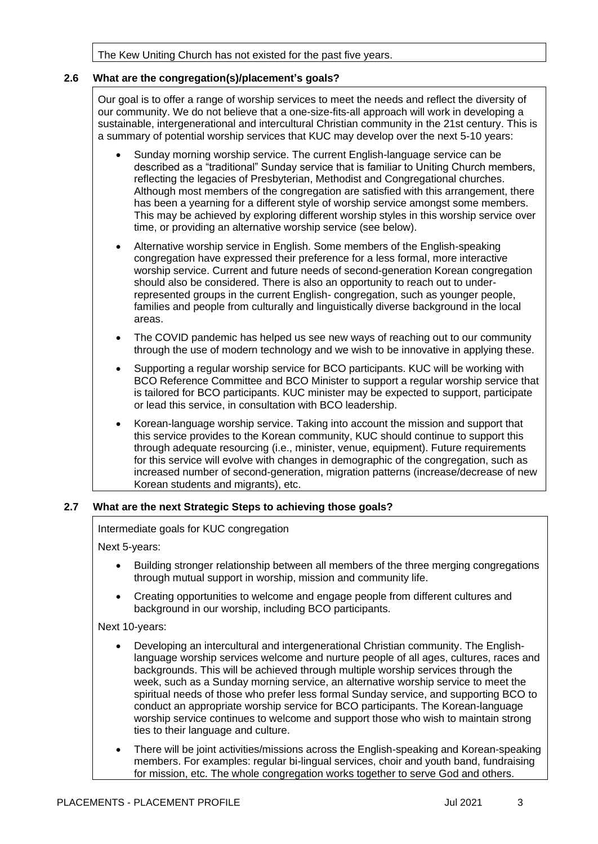The Kew Uniting Church has not existed for the past five years.

## **2.6 What are the congregation(s)/placement's goals?**

Our goal is to offer a range of worship services to meet the needs and reflect the diversity of our community. We do not believe that a one-size-fits-all approach will work in developing a sustainable, intergenerational and intercultural Christian community in the 21st century. This is a summary of potential worship services that KUC may develop over the next 5-10 years:

- Sunday morning worship service. The current English-language service can be described as a "traditional" Sunday service that is familiar to Uniting Church members, reflecting the legacies of Presbyterian, Methodist and Congregational churches. Although most members of the congregation are satisfied with this arrangement, there has been a yearning for a different style of worship service amongst some members. This may be achieved by exploring different worship styles in this worship service over time, or providing an alternative worship service (see below).
- Alternative worship service in English. Some members of the English-speaking congregation have expressed their preference for a less formal, more interactive worship service. Current and future needs of second-generation Korean congregation should also be considered. There is also an opportunity to reach out to underrepresented groups in the current English- congregation, such as younger people, families and people from culturally and linguistically diverse background in the local areas.
- The COVID pandemic has helped us see new ways of reaching out to our community through the use of modern technology and we wish to be innovative in applying these.
- Supporting a regular worship service for BCO participants. KUC will be working with BCO Reference Committee and BCO Minister to support a regular worship service that is tailored for BCO participants. KUC minister may be expected to support, participate or lead this service, in consultation with BCO leadership.
- Korean-language worship service. Taking into account the mission and support that this service provides to the Korean community, KUC should continue to support this through adequate resourcing (i.e., minister, venue, equipment). Future requirements for this service will evolve with changes in demographic of the congregation, such as increased number of second-generation, migration patterns (increase/decrease of new Korean students and migrants), etc.

### **2.7 What are the next Strategic Steps to achieving those goals?**

Intermediate goals for KUC congregation

Next 5-years:

- Building stronger relationship between all members of the three merging congregations through mutual support in worship, mission and community life.
- Creating opportunities to welcome and engage people from different cultures and background in our worship, including BCO participants.

Next 10-years:

- Developing an intercultural and intergenerational Christian community. The Englishlanguage worship services welcome and nurture people of all ages, cultures, races and backgrounds. This will be achieved through multiple worship services through the week, such as a Sunday morning service, an alternative worship service to meet the spiritual needs of those who prefer less formal Sunday service, and supporting BCO to conduct an appropriate worship service for BCO participants. The Korean-language worship service continues to welcome and support those who wish to maintain strong ties to their language and culture.
- There will be joint activities/missions across the English-speaking and Korean-speaking members. For examples: regular bi-lingual services, choir and youth band, fundraising for mission, etc. The whole congregation works together to serve God and others.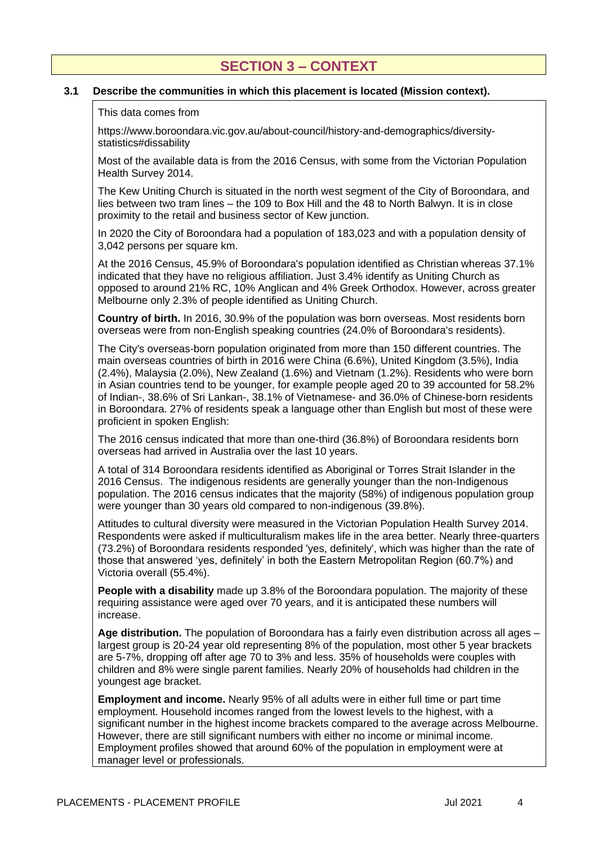# **SECTION 3 – CONTEXT**

## **3.1 Describe the communities in which this placement is located (Mission context).**

#### This data comes from

https://www.boroondara.vic.gov.au/about-council/history-and-demographics/diversitystatistics#dissability

Most of the available data is from the 2016 Census, with some from the Victorian Population Health Survey 2014.

The Kew Uniting Church is situated in the north west segment of the City of Boroondara, and lies between two tram lines – the 109 to Box Hill and the 48 to North Balwyn. It is in close proximity to the retail and business sector of Kew junction.

In 2020 the City of Boroondara had a population of 183,023 and with a population density of 3,042 persons per square km.

At the 2016 Census, 45.9% of Boroondara's population identified as Christian whereas 37.1% indicated that they have no religious affiliation. Just 3.4% identify as Uniting Church as opposed to around 21% RC, 10% Anglican and 4% Greek Orthodox. However, across greater Melbourne only 2.3% of people identified as Uniting Church.

**Country of birth.** In 2016, 30.9% of the population was born overseas. Most residents born overseas were from non-English speaking countries (24.0% of Boroondara's residents).

The City's overseas-born population originated from more than 150 different countries. The main overseas countries of birth in 2016 were China (6.6%), United Kingdom (3.5%), India (2.4%), Malaysia (2.0%), New Zealand (1.6%) and Vietnam (1.2%). Residents who were born in Asian countries tend to be younger, for example people aged 20 to 39 accounted for 58.2% of Indian-, 38.6% of Sri Lankan-, 38.1% of Vietnamese- and 36.0% of Chinese-born residents in Boroondara. 27% of residents speak a language other than English but most of these were proficient in spoken English:

The 2016 census indicated that more than one-third (36.8%) of Boroondara residents born overseas had arrived in Australia over the last 10 years.

A total of 314 Boroondara residents identified as Aboriginal or Torres Strait Islander in the 2016 Census. The indigenous residents are generally younger than the non-Indigenous population. The 2016 census indicates that the majority (58%) of indigenous population group were younger than 30 years old compared to non-indigenous (39.8%).

Attitudes to cultural diversity were measured in the Victorian Population Health Survey 2014. Respondents were asked if multiculturalism makes life in the area better. Nearly three-quarters (73.2%) of Boroondara residents responded 'yes, definitely', which was higher than the rate of those that answered 'yes, definitely' in both the Eastern Metropolitan Region (60.7%) and Victoria overall (55.4%).

**People with a disability** made up 3.8% of the Boroondara population. The majority of these requiring assistance were aged over 70 years, and it is anticipated these numbers will increase.

**Age distribution.** The population of Boroondara has a fairly even distribution across all ages – largest group is 20-24 year old representing 8% of the population, most other 5 year brackets are 5-7%, dropping off after age 70 to 3% and less. 35% of households were couples with children and 8% were single parent families. Nearly 20% of households had children in the youngest age bracket.

**Employment and income.** Nearly 95% of all adults were in either full time or part time employment. Household incomes ranged from the lowest levels to the highest, with a significant number in the highest income brackets compared to the average across Melbourne. However, there are still significant numbers with either no income or minimal income. Employment profiles showed that around 60% of the population in employment were at manager level or professionals.